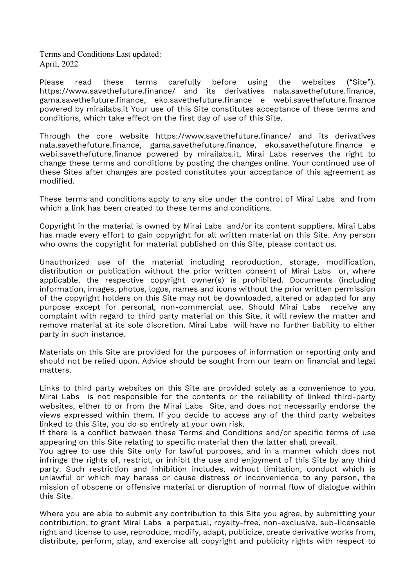Terms and Conditions Last updated: April, 2022

Please read these terms carefully before using the websites ("Site"). https://www.savethefuture.finance/ and its derivatives nala.savethefuture.finance, gama.savethefuture.finance, eko.savethefuture.finance e webi.savethefuture.finance powered by mirailabs.it Your use of this Site constitutes acceptance of these terms and conditions, which take effect on the first day of use of this Site.

Through the core website https://www.savethefuture.finance/ and its derivatives nala.savethefuture.finance, gama.savethefuture.finance, eko.savethefuture.finance e webi.savethefuture.finance powered by mirailabs.it, Mirai Labs reserves the right to change these terms and conditions by posting the changes online. Your continued use of these Sites after changes are posted constitutes your acceptance of this agreement as modified.

These terms and conditions apply to any site under the control of Mirai Labs and from which a link has been created to these terms and conditions.

Copyright in the material is owned by Mirai Labs and/or its content suppliers. Mirai Labs has made every effort to gain copyright for all written material on this Site. Any person who owns the copyright for material published on this Site, please contact us.

Unauthorized use of the material including reproduction, storage, modification, distribution or publication without the prior written consent of Mirai Labs or, where applicable, the respective copyright owner(s) is prohibited. Documents (including information, images, photos, logos, names and icons without the prior written permission of the copyright holders on this Site may not be downloaded, altered or adapted for any purpose except for personal, non-commercial use. Should Mirai Labs receive any complaint with regard to third party material on this Site, it will review the matter and remove material at its sole discretion. Mirai Labs will have no further liability to either party in such instance.

Materials on this Site are provided for the purposes of information or reporting only and should not be relied upon. Advice should be sought from our team on financial and legal matters.

Links to third party websites on this Site are provided solely as a convenience to you. Mirai Labs is not responsible for the contents or the reliability of linked third-party websites, either to or from the Mirai Labs Site, and does not necessarily endorse the views expressed within them. If you decide to access any of the third party websites linked to this Site, you do so entirely at your own risk.

If there is a conflict between these Terms and Conditions and/or specific terms of use appearing on this Site relating to specific material then the latter shall prevail.

You agree to use this Site only for lawful purposes, and in a manner which does not infringe the rights of, restrict, or inhibit the use and enjoyment of this Site by any third party. Such restriction and inhibition includes, without limitation, conduct which is unlawful or which may harass or cause distress or inconvenience to any person, the mission of obscene or offensive material or disruption of normal flow of dialogue within this Site.

Where you are able to submit any contribution to this Site you agree, by submitting your contribution, to grant Mirai Labs a perpetual, royalty-free, non-exclusive, sub-licensable right and license to use, reproduce, modify, adapt, publicize, create derivative works from, distribute, perform, play, and exercise all copyright and publicity rights with respect to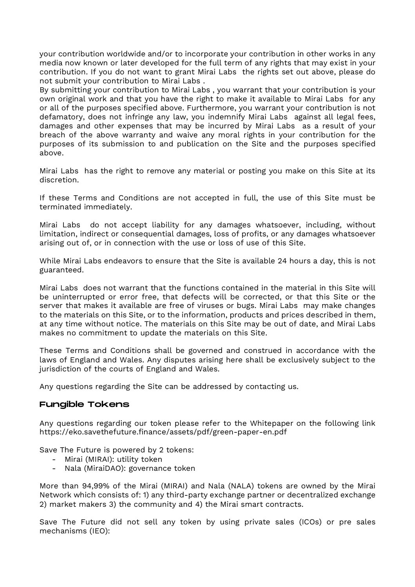your contribution worldwide and/or to incorporate your contribution in other works in any media now known or later developed for the full term of any rights that may exist in your contribution. If you do not want to grant Mirai Labs the rights set out above, please do not submit your contribution to Mirai Labs .

By submitting your contribution to Mirai Labs , you warrant that your contribution is your own original work and that you have the right to make it available to Mirai Labs for any or all of the purposes specified above. Furthermore, you warrant your contribution is not defamatory, does not infringe any law, you indemnify Mirai Labs against all legal fees, damages and other expenses that may be incurred by Mirai Labs as a result of your breach of the above warranty and waive any moral rights in your contribution for the purposes of its submission to and publication on the Site and the purposes specified above.

Mirai Labs has the right to remove any material or posting you make on this Site at its discretion.

If these Terms and Conditions are not accepted in full, the use of this Site must be terminated immediately.

Mirai Labs do not accept liability for any damages whatsoever, including, without limitation, indirect or consequential damages, loss of profits, or any damages whatsoever arising out of, or in connection with the use or loss of use of this Site.

While Mirai Labs endeavors to ensure that the Site is available 24 hours a day, this is not guaranteed.

Mirai Labs does not warrant that the functions contained in the material in this Site will be uninterrupted or error free, that defects will be corrected, or that this Site or the server that makes it available are free of viruses or bugs. Mirai Labs may make changes to the materials on this Site, or to the information, products and prices described in them, at any time without notice. The materials on this Site may be out of date, and Mirai Labs makes no commitment to update the materials on this Site.

These Terms and Conditions shall be governed and construed in accordance with the laws of England and Wales. Any disputes arising here shall be exclusively subject to the jurisdiction of the courts of England and Wales.

Any questions regarding the Site can be addressed by contacting us.

### Fungible Tokens

Any questions regarding our token please refer to the Whitepaper on the following link https://eko.savethefuture.finance/assets/pdf/green-paper-en.pdf

Save The Future is powered by 2 tokens:

- Mirai (MIRAI): utility token
- Nala (MiraiDAO): governance token

More than 94,99% of the Mirai (MIRAI) and Nala (NALA) tokens are owned by the Mirai Network which consists of: 1) any third-party exchange partner or decentralized exchange 2) market makers 3) the community and 4) the Mirai smart contracts.

Save The Future did not sell any token by using private sales (ICOs) or pre sales mechanisms (IEO):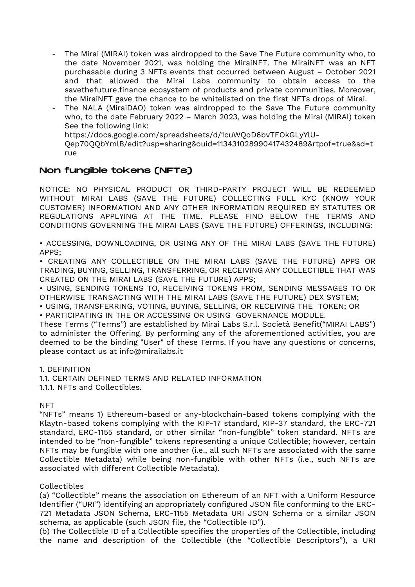- The Mirai (MIRAI) token was airdropped to the Save The Future community who, to the date November 2021, was holding the MiraiNFT. The MiraiNFT was an NFT purchasable during 3 NFTs events that occurred between August – October 2021 and that allowed the Mirai Labs community to obtain access to the savethefuture.finance ecosystem of products and private communities. Moreover, the MiraiNFT gave the chance to be whitelisted on the first NFTs drops of Mirai.
- The NALA (MiraiDAO) token was airdropped to the Save The Future community who, to the date February 2022 – March 2023, was holding the Mirai (MIRAI) token See the following link: https://docs.google.com/spreadsheets/d/1cuWQoD6bvTFOkGLyYlU-Qep70QQbYmlB/edit?usp=sharing&ouid=113431028990417432489&rtpof=true&sd=t

rue

# Non fungible tokens (NFTs)

NOTICE: NO PHYSICAL PRODUCT OR THIRD-PARTY PROJECT WILL BE REDEEMED WITHOUT MIRAI LABS (SAVE THE FUTURE) COLLECTING FULL KYC (KNOW YOUR CUSTOMER) INFORMATION AND ANY OTHER INFORMATION REQUIRED BY STATUTES OR REGULATIONS APPLYING AT THE TIME. PLEASE FIND BELOW THE TERMS AND CONDITIONS GOVERNING THE MIRAI LABS (SAVE THE FUTURE) OFFERINGS, INCLUDING:

• ACCESSING, DOWNLOADING, OR USING ANY OF THE MIRAI LABS (SAVE THE FUTURE) APPS;

• CREATING ANY COLLECTIBLE ON THE MIRAI LABS (SAVE THE FUTURE) APPS OR TRADING, BUYING, SELLING, TRANSFERRING, OR RECEIVING ANY COLLECTIBLE THAT WAS CREATED ON THE MIRAI LABS (SAVE THE FUTURE) APPS;

• USING, SENDING TOKENS TO, RECEIVING TOKENS FROM, SENDING MESSAGES TO OR OTHERWISE TRANSACTING WITH THE MIRAI LABS (SAVE THE FUTURE) DEX SYSTEM;

• USING, TRANSFERRING, VOTING, BUYING, SELLING, OR RECEIVING THE TOKEN; OR • PARTICIPATING IN THE OR ACCESSING OR USING GOVERNANCE MODULE.

These Terms ("Terms") are established by Mirai Labs S.r.l. Società Benefit("MIRAI LABS") to administer the Offering. By performing any of the aforementioned activities, you are deemed to be the binding "User" of these Terms. If you have any questions or concerns, please contact us at info@mirailabs.it

1. DEFINITION

1.1. CERTAIN DEFINED TERMS AND RELATED INFORMATION 1.1.1. NFTs and Collectibles.

## **NFT**

"NFTs" means 1) Ethereum-based or any-blockchain-based tokens complying with the Klaytn-based tokens complying with the KIP-17 standard, KIP-37 standard, the ERC-721 standard, ERC-1155 standard, or other similar "non-fungible" token standard. NFTs are intended to be "non-fungible" tokens representing a unique Collectible; however, certain NFTs may be fungible with one another (i.e., all such NFTs are associated with the same Collectible Metadata) while being non-fungible with other NFTs (i.e., such NFTs are associated with different Collectible Metadata).

## Collectibles

(a) "Collectible" means the association on Ethereum of an NFT with a Uniform Resource Identifier ("URI") identifying an appropriately configured JSON file conforming to the ERC-721 Metadata JSON Schema, ERC-1155 Metadata URI JSON Schema or a similar JSON schema, as applicable (such JSON file, the "Collectible ID").

(b) The Collectible ID of a Collectible specifies the properties of the Collectible, including the name and description of the Collectible (the "Collectible Descriptors"), a URI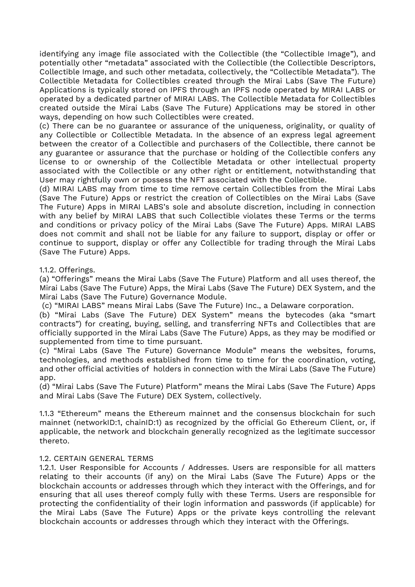identifying any image file associated with the Collectible (the "Collectible Image"), and potentially other "metadata" associated with the Collectible (the Collectible Descriptors, Collectible Image, and such other metadata, collectively, the "Collectible Metadata"). The Collectible Metadata for Collectibles created through the Mirai Labs (Save The Future) Applications is typically stored on IPFS through an IPFS node operated by MIRAI LABS or operated by a dedicated partner of MIRAI LABS. The Collectible Metadata for Collectibles created outside the Mirai Labs (Save The Future) Applications may be stored in other ways, depending on how such Collectibles were created.

(c) There can be no guarantee or assurance of the uniqueness, originality, or quality of any Collectible or Collectible Metadata. In the absence of an express legal agreement between the creator of a Collectible and purchasers of the Collectible, there cannot be any guarantee or assurance that the purchase or holding of the Collectible confers any license to or ownership of the Collectible Metadata or other intellectual property associated with the Collectible or any other right or entitlement, notwithstanding that User may rightfully own or possess the NFT associated with the Collectible.

(d) MIRAI LABS may from time to time remove certain Collectibles from the Mirai Labs (Save The Future) Apps or restrict the creation of Collectibles on the Mirai Labs (Save The Future) Apps in MIRAI LABS's sole and absolute discretion, including in connection with any belief by MIRAI LABS that such Collectible violates these Terms or the terms and conditions or privacy policy of the Mirai Labs (Save The Future) Apps. MIRAI LABS does not commit and shall not be liable for any failure to support, display or offer or continue to support, display or offer any Collectible for trading through the Mirai Labs (Save The Future) Apps.

1.1.2. Offerings.

(a) "Offerings" means the Mirai Labs (Save The Future) Platform and all uses thereof, the Mirai Labs (Save The Future) Apps, the Mirai Labs (Save The Future) DEX System, and the Mirai Labs (Save The Future) Governance Module.

(c) "MIRAI LABS" means Mirai Labs (Save The Future) Inc., a Delaware corporation.

(b) "Mirai Labs (Save The Future) DEX System" means the bytecodes (aka "smart contracts") for creating, buying, selling, and transferring NFTs and Collectibles that are officially supported in the Mirai Labs (Save The Future) Apps, as they may be modified or supplemented from time to time pursuant.

(c) "Mirai Labs (Save The Future) Governance Module" means the websites, forums, technologies, and methods established from time to time for the coordination, voting, and other official activities of holders in connection with the Mirai Labs (Save The Future) app.

(d) "Mirai Labs (Save The Future) Platform" means the Mirai Labs (Save The Future) Apps and Mirai Labs (Save The Future) DEX System, collectively.

1.1.3 "Ethereum" means the Ethereum mainnet and the consensus blockchain for such mainnet (networkID:1, chainID:1) as recognized by the official Go Ethereum Client, or, if applicable, the network and blockchain generally recognized as the legitimate successor thereto.

### 1.2. CERTAIN GENERAL TERMS

1.2.1. User Responsible for Accounts / Addresses. Users are responsible for all matters relating to their accounts (if any) on the Mirai Labs (Save The Future) Apps or the blockchain accounts or addresses through which they interact with the Offerings, and for ensuring that all uses thereof comply fully with these Terms. Users are responsible for protecting the confidentiality of their login information and passwords (if applicable) for the Mirai Labs (Save The Future) Apps or the private keys controlling the relevant blockchain accounts or addresses through which they interact with the Offerings.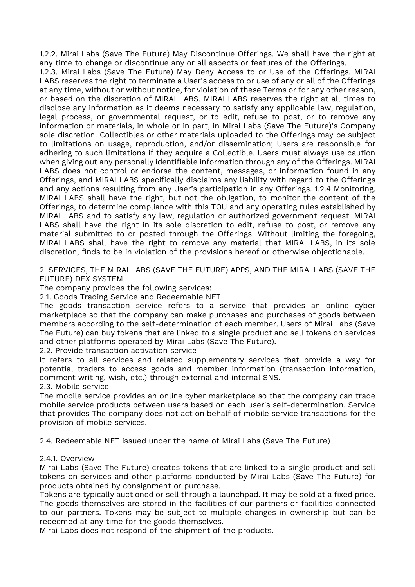1.2.2. Mirai Labs (Save The Future) May Discontinue Offerings. We shall have the right at any time to change or discontinue any or all aspects or features of the Offerings.

1.2.3. Mirai Labs (Save The Future) May Deny Access to or Use of the Offerings. MIRAI LABS reserves the right to terminate a User's access to or use of any or all of the Offerings at any time, without or without notice, for violation of these Terms or for any other reason, or based on the discretion of MIRAI LABS. MIRAI LABS reserves the right at all times to disclose any information as it deems necessary to satisfy any applicable law, regulation, legal process, or governmental request, or to edit, refuse to post, or to remove any information or materials, in whole or in part, in Mirai Labs (Save The Future)'s Company sole discretion. Collectibles or other materials uploaded to the Offerings may be subject to limitations on usage, reproduction, and/or dissemination; Users are responsible for adhering to such limitations if they acquire a Collectible. Users must always use caution when giving out any personally identifiable information through any of the Offerings. MIRAI LABS does not control or endorse the content, messages, or information found in any Offerings, and MIRAI LABS specifically disclaims any liability with regard to the Offerings and any actions resulting from any User's participation in any Offerings. 1.2.4 Monitoring. MIRAI LABS shall have the right, but not the obligation, to monitor the content of the Offerings, to determine compliance with this TOU and any operating rules established by MIRAI LABS and to satisfy any law, regulation or authorized government request. MIRAI LABS shall have the right in its sole discretion to edit, refuse to post, or remove any material submitted to or posted through the Offerings. Without limiting the foregoing, MIRAI LABS shall have the right to remove any material that MIRAI LABS, in its sole discretion, finds to be in violation of the provisions hereof or otherwise objectionable.

2. SERVICES, THE MIRAI LABS (SAVE THE FUTURE) APPS, AND THE MIRAI LABS (SAVE THE FUTURE) DEX SYSTEM

The company provides the following services:

2.1. Goods Trading Service and Redeemable NFT

The goods transaction service refers to a service that provides an online cyber marketplace so that the company can make purchases and purchases of goods between members according to the self-determination of each member. Users of Mirai Labs (Save The Future) can buy tokens that are linked to a single product and sell tokens on services and other platforms operated by Mirai Labs (Save The Future).

2.2. Provide transaction activation service

It refers to all services and related supplementary services that provide a way for potential traders to access goods and member information (transaction information, comment writing, wish, etc.) through external and internal SNS. 2.3. Mobile service

The mobile service provides an online cyber marketplace so that the company can trade mobile service products between users based on each user's self-determination. Service that provides The company does not act on behalf of mobile service transactions for the provision of mobile services.

2.4. Redeemable NFT issued under the name of Mirai Labs (Save The Future)

### 2.4.1. Overview

Mirai Labs (Save The Future) creates tokens that are linked to a single product and sell tokens on services and other platforms conducted by Mirai Labs (Save The Future) for products obtained by consignment or purchase.

Tokens are typically auctioned or sell through a launchpad. It may be sold at a fixed price. The goods themselves are stored in the facilities of our partners or facilities connected to our partners. Tokens may be subject to multiple changes in ownership but can be redeemed at any time for the goods themselves.

Mirai Labs does not respond of the shipment of the products.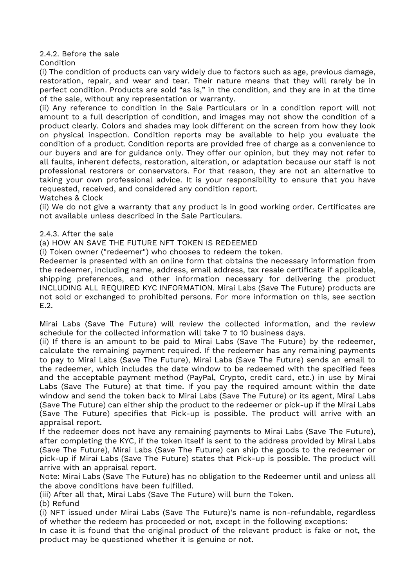2.4.2. Before the sale

Condition

(i) The condition of products can vary widely due to factors such as age, previous damage, restoration, repair, and wear and tear. Their nature means that they will rarely be in perfect condition. Products are sold "as is," in the condition, and they are in at the time of the sale, without any representation or warranty.

(ii) Any reference to condition in the Sale Particulars or in a condition report will not amount to a full description of condition, and images may not show the condition of a product clearly. Colors and shades may look different on the screen from how they look on physical inspection. Condition reports may be available to help you evaluate the condition of a product. Condition reports are provided free of charge as a convenience to our buyers and are for guidance only. They offer our opinion, but they may not refer to all faults, inherent defects, restoration, alteration, or adaptation because our staff is not professional restorers or conservators. For that reason, they are not an alternative to taking your own professional advice. It is your responsibility to ensure that you have requested, received, and considered any condition report.

Watches & Clock

(ii) We do not give a warranty that any product is in good working order. Certificates are not available unless described in the Sale Particulars.

### 2.4.3. After the sale

(a) HOW AN SAVE THE FUTURE NFT TOKEN IS REDEEMED

(i) Token owner ("redeemer") who chooses to redeem the token.

Redeemer is presented with an online form that obtains the necessary information from the redeemer, including name, address, email address, tax resale certificate if applicable, shipping preferences, and other information necessary for delivering the product INCLUDING ALL REQUIRED KYC INFORMATION. Mirai Labs (Save The Future) products are not sold or exchanged to prohibited persons. For more information on this, see section E.2.

Mirai Labs (Save The Future) will review the collected information, and the review schedule for the collected information will take 7 to 10 business days.

(ii) If there is an amount to be paid to Mirai Labs (Save The Future) by the redeemer, calculate the remaining payment required. If the redeemer has any remaining payments to pay to Mirai Labs (Save The Future), Mirai Labs (Save The Future) sends an email to the redeemer, which includes the date window to be redeemed with the specified fees and the acceptable payment method (PayPal, Crypto, credit card, etc.) in use by Mirai Labs (Save The Future) at that time. If you pay the required amount within the date window and send the token back to Mirai Labs (Save The Future) or its agent, Mirai Labs (Save The Future) can either ship the product to the redeemer or pick-up if the Mirai Labs (Save The Future) specifies that Pick-up is possible. The product will arrive with an appraisal report.

If the redeemer does not have any remaining payments to Mirai Labs (Save The Future), after completing the KYC, if the token itself is sent to the address provided by Mirai Labs (Save The Future), Mirai Labs (Save The Future) can ship the goods to the redeemer or pick-up if Mirai Labs (Save The Future) states that Pick-up is possible. The product will arrive with an appraisal report.

Note: Mirai Labs (Save The Future) has no obligation to the Redeemer until and unless all the above conditions have been fulfilled.

(iii) After all that, Mirai Labs (Save The Future) will burn the Token.

(b) Refund

(i) NFT issued under Mirai Labs (Save The Future)'s name is non-refundable, regardless of whether the redeem has proceeded or not, except in the following exceptions:

In case it is found that the original product of the relevant product is fake or not, the product may be questioned whether it is genuine or not.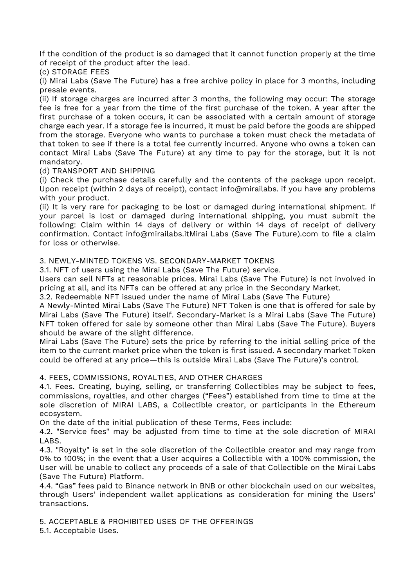If the condition of the product is so damaged that it cannot function properly at the time of receipt of the product after the lead.

(c) STORAGE FEES

(i) Mirai Labs (Save The Future) has a free archive policy in place for 3 months, including presale events.

(ii) If storage charges are incurred after 3 months, the following may occur: The storage fee is free for a year from the time of the first purchase of the token. A year after the first purchase of a token occurs, it can be associated with a certain amount of storage charge each year. If a storage fee is incurred, it must be paid before the goods are shipped from the storage. Everyone who wants to purchase a token must check the metadata of that token to see if there is a total fee currently incurred. Anyone who owns a token can contact Mirai Labs (Save The Future) at any time to pay for the storage, but it is not mandatory.

### (d) TRANSPORT AND SHIPPING

(i) Check the purchase details carefully and the contents of the package upon receipt. Upon receipt (within 2 days of receipt), contact info@mirailabs. if you have any problems with your product.

(ii) It is very rare for packaging to be lost or damaged during international shipment. If your parcel is lost or damaged during international shipping, you must submit the following: Claim within 14 days of delivery or within 14 days of receipt of delivery confirmation. Contact info@mirailabs.itMirai Labs (Save The Future).com to file a claim for loss or otherwise.

3. NEWLY-MINTED TOKENS VS. SECONDARY-MARKET TOKENS

3.1. NFT of users using the Mirai Labs (Save The Future) service.

Users can sell NFTs at reasonable prices. Mirai Labs (Save The Future) is not involved in pricing at all, and its NFTs can be offered at any price in the Secondary Market.

3.2. Redeemable NFT issued under the name of Mirai Labs (Save The Future)

A Newly-Minted Mirai Labs (Save The Future) NFT Token is one that is offered for sale by Mirai Labs (Save The Future) itself. Secondary-Market is a Mirai Labs (Save The Future) NFT token offered for sale by someone other than Mirai Labs (Save The Future). Buyers should be aware of the slight difference.

Mirai Labs (Save The Future) sets the price by referring to the initial selling price of the item to the current market price when the token is first issued. A secondary market Token could be offered at any price—this is outside Mirai Labs (Save The Future)'s control.

### 4. FEES, COMMISSIONS, ROYALTIES, AND OTHER CHARGES

4.1. Fees. Creating, buying, selling, or transferring Collectibles may be subject to fees, commissions, royalties, and other charges ("Fees") established from time to time at the sole discretion of MIRAI LABS, a Collectible creator, or participants in the Ethereum ecosystem.

On the date of the initial publication of these Terms, Fees include:

4.2. "Service fees" may be adjusted from time to time at the sole discretion of MIRAI LABS.

4.3. "Royalty" is set in the sole discretion of the Collectible creator and may range from 0% to 100%; in the event that a User acquires a Collectible with a 100% commission, the User will be unable to collect any proceeds of a sale of that Collectible on the Mirai Labs (Save The Future) Platform.

4.4. "Gas" fees paid to Binance network in BNB or other blockchain used on our websites, through Users' independent wallet applications as consideration for mining the Users' transactions.

5. ACCEPTABLE & PROHIBITED USES OF THE OFFERINGS

5.1. Acceptable Uses.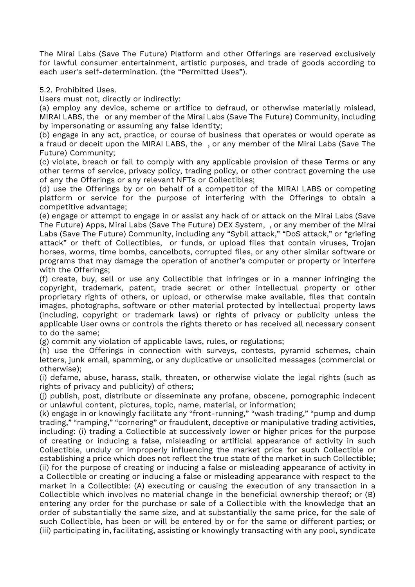The Mirai Labs (Save The Future) Platform and other Offerings are reserved exclusively for lawful consumer entertainment, artistic purposes, and trade of goods according to each user's self-determination. (the "Permitted Uses").

5.2. Prohibited Uses.

Users must not, directly or indirectly:

(a) employ any device, scheme or artifice to defraud, or otherwise materially mislead, MIRAI LABS, the or any member of the Mirai Labs (Save The Future) Community, including by impersonating or assuming any false identity;

(b) engage in any act, practice, or course of business that operates or would operate as a fraud or deceit upon the MIRAI LABS, the , or any member of the Mirai Labs (Save The Future) Community;

(c) violate, breach or fail to comply with any applicable provision of these Terms or any other terms of service, privacy policy, trading policy, or other contract governing the use of any the Offerings or any relevant NFTs or Collectibles;

(d) use the Offerings by or on behalf of a competitor of the MIRAI LABS or competing platform or service for the purpose of interfering with the Offerings to obtain a competitive advantage;

(e) engage or attempt to engage in or assist any hack of or attack on the Mirai Labs (Save The Future) Apps, Mirai Labs (Save The Future) DEX System, , or any member of the Mirai Labs (Save The Future) Community, including any "Sybil attack," "DoS attack," or "griefing attack" or theft of Collectibles, or funds, or upload files that contain viruses, Trojan horses, worms, time bombs, cancelbots, corrupted files, or any other similar software or programs that may damage the operation of another's computer or property or interfere with the Offerings;

(f) create, buy, sell or use any Collectible that infringes or in a manner infringing the copyright, trademark, patent, trade secret or other intellectual property or other proprietary rights of others, or upload, or otherwise make available, files that contain images, photographs, software or other material protected by intellectual property laws (including, copyright or trademark laws) or rights of privacy or publicity unless the applicable User owns or controls the rights thereto or has received all necessary consent to do the same;

(g) commit any violation of applicable laws, rules, or regulations;

(h) use the Offerings in connection with surveys, contests, pyramid schemes, chain letters, junk email, spamming, or any duplicative or unsolicited messages (commercial or otherwise);

(i) defame, abuse, harass, stalk, threaten, or otherwise violate the legal rights (such as rights of privacy and publicity) of others;

(j) publish, post, distribute or disseminate any profane, obscene, pornographic indecent or unlawful content, pictures, topic, name, material, or information;

(k) engage in or knowingly facilitate any "front-running," "wash trading," "pump and dump trading," "ramping," "cornering" or fraudulent, deceptive or manipulative trading activities, including: (i) trading a Collectible at successively lower or higher prices for the purpose of creating or inducing a false, misleading or artificial appearance of activity in such Collectible, unduly or improperly influencing the market price for such Collectible or establishing a price which does not reflect the true state of the market in such Collectible; (ii) for the purpose of creating or inducing a false or misleading appearance of activity in a Collectible or creating or inducing a false or misleading appearance with respect to the market in a Collectible: (A) executing or causing the execution of any transaction in a Collectible which involves no material change in the beneficial ownership thereof; or (B) entering any order for the purchase or sale of a Collectible with the knowledge that an order of substantially the same size, and at substantially the same price, for the sale of such Collectible, has been or will be entered by or for the same or different parties; or (iii) participating in, facilitating, assisting or knowingly transacting with any pool, syndicate